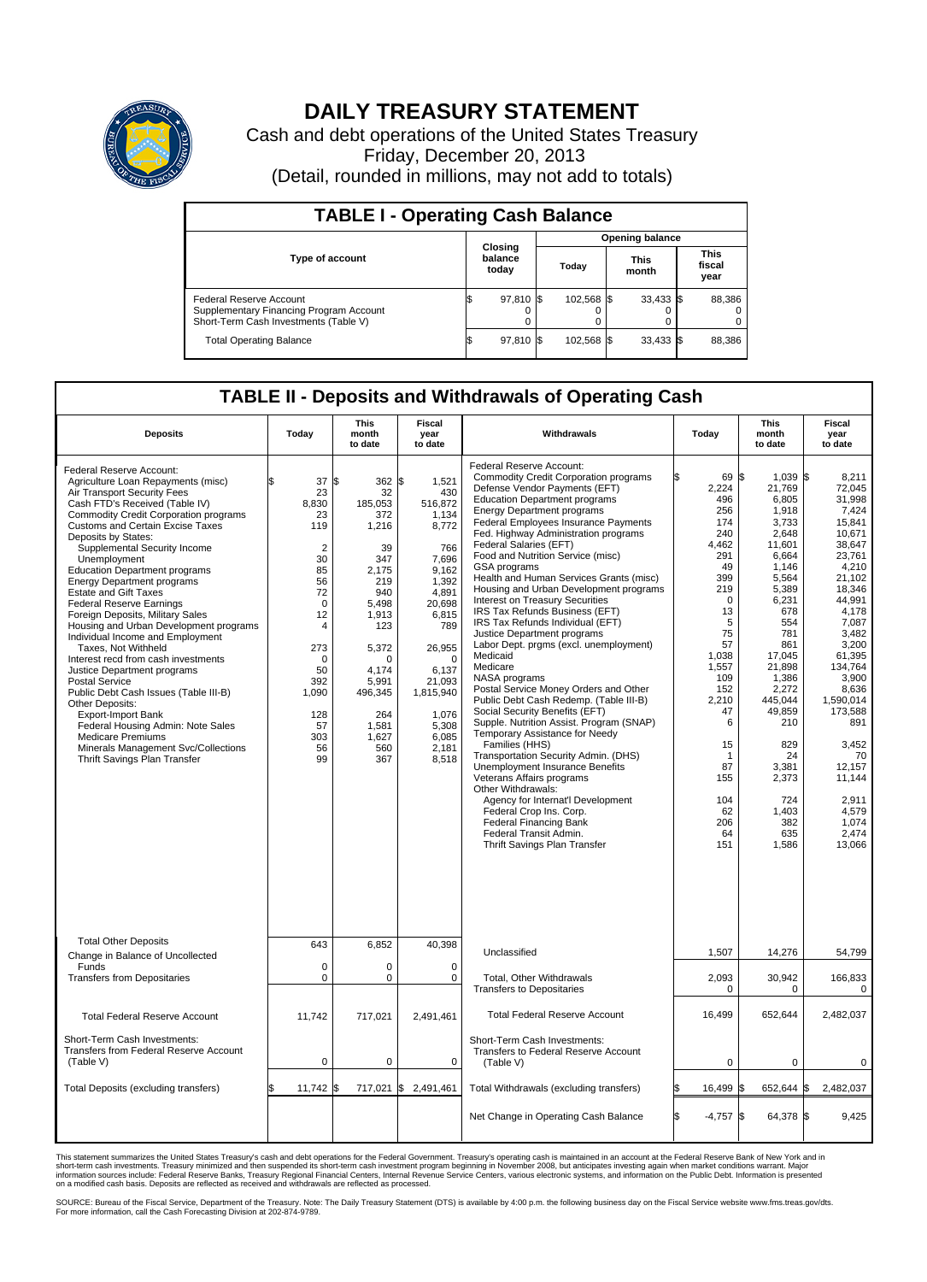

## **DAILY TREASURY STATEMENT**

Cash and debt operations of the United States Treasury Friday, December 20, 2013 (Detail, rounded in millions, may not add to totals)

| <b>TABLE I - Operating Cash Balance</b>                                                                     |  |                             |  |                        |  |                      |  |                               |  |  |
|-------------------------------------------------------------------------------------------------------------|--|-----------------------------|--|------------------------|--|----------------------|--|-------------------------------|--|--|
|                                                                                                             |  |                             |  | <b>Opening balance</b> |  |                      |  |                               |  |  |
| <b>Type of account</b>                                                                                      |  | Closing<br>balance<br>today |  | Today                  |  | <b>This</b><br>month |  | <b>This</b><br>fiscal<br>year |  |  |
| Federal Reserve Account<br>Supplementary Financing Program Account<br>Short-Term Cash Investments (Table V) |  | 97,810 \$                   |  | 102.568 \$             |  | $33,433$ \$          |  | 88,386                        |  |  |
| <b>Total Operating Balance</b>                                                                              |  | 97,810 \$                   |  | 102,568 \$             |  | $33,433$ \$          |  | 88,386                        |  |  |

## **TABLE II - Deposits and Withdrawals of Operating Cash**

| <b>Deposits</b>                                                                                                                                                                                                                                                                                                                                                                                                                                                                                                                                                                                                                                                                                                                                                                                                                                                                                                     | Today                                                                                                                                                                                          | This<br>month<br>to date                                                                                                                                                                             | Fiscal<br>year<br>to date                                                                                                                                                                                         | Withdrawals                                                                                                                                                                                                                                                                                                                                                                                                                                                                                                                                                                                                                                                                                                                                                                                                                                                                                                                                                                                                                                                                                                                                                                                | Today                                                                                                                                                                                                                                            | <b>This</b><br>month<br>to date                                                                                                                                                                                                                                                            | <b>Fiscal</b><br>year<br>to date                                                                                                                                                                                                                                                                             |
|---------------------------------------------------------------------------------------------------------------------------------------------------------------------------------------------------------------------------------------------------------------------------------------------------------------------------------------------------------------------------------------------------------------------------------------------------------------------------------------------------------------------------------------------------------------------------------------------------------------------------------------------------------------------------------------------------------------------------------------------------------------------------------------------------------------------------------------------------------------------------------------------------------------------|------------------------------------------------------------------------------------------------------------------------------------------------------------------------------------------------|------------------------------------------------------------------------------------------------------------------------------------------------------------------------------------------------------|-------------------------------------------------------------------------------------------------------------------------------------------------------------------------------------------------------------------|--------------------------------------------------------------------------------------------------------------------------------------------------------------------------------------------------------------------------------------------------------------------------------------------------------------------------------------------------------------------------------------------------------------------------------------------------------------------------------------------------------------------------------------------------------------------------------------------------------------------------------------------------------------------------------------------------------------------------------------------------------------------------------------------------------------------------------------------------------------------------------------------------------------------------------------------------------------------------------------------------------------------------------------------------------------------------------------------------------------------------------------------------------------------------------------------|--------------------------------------------------------------------------------------------------------------------------------------------------------------------------------------------------------------------------------------------------|--------------------------------------------------------------------------------------------------------------------------------------------------------------------------------------------------------------------------------------------------------------------------------------------|--------------------------------------------------------------------------------------------------------------------------------------------------------------------------------------------------------------------------------------------------------------------------------------------------------------|
| Federal Reserve Account:<br>Agriculture Loan Repayments (misc)<br>Air Transport Security Fees<br>Cash FTD's Received (Table IV)<br><b>Commodity Credit Corporation programs</b><br>Customs and Certain Excise Taxes<br>Deposits by States:<br>Supplemental Security Income<br>Unemployment<br><b>Education Department programs</b><br><b>Energy Department programs</b><br><b>Estate and Gift Taxes</b><br><b>Federal Reserve Earnings</b><br>Foreign Deposits, Military Sales<br>Housing and Urban Development programs<br>Individual Income and Employment<br>Taxes, Not Withheld<br>Interest recd from cash investments<br>Justice Department programs<br><b>Postal Service</b><br>Public Debt Cash Issues (Table III-B)<br>Other Deposits:<br><b>Export-Import Bank</b><br>Federal Housing Admin: Note Sales<br><b>Medicare Premiums</b><br>Minerals Management Svc/Collections<br>Thrift Savings Plan Transfer | \$<br>37<br>23<br>8,830<br>23<br>119<br>$\overline{2}$<br>30<br>85<br>56<br>72<br>$\mathbf 0$<br>12<br>$\overline{4}$<br>273<br>$\Omega$<br>50<br>392<br>1,090<br>128<br>57<br>303<br>56<br>99 | 1\$<br>362 \$<br>32<br>185,053<br>372<br>1,216<br>39<br>347<br>2,175<br>219<br>940<br>5,498<br>1,913<br>123<br>5,372<br>$\Omega$<br>4,174<br>5,991<br>496,345<br>264<br>1,581<br>1,627<br>560<br>367 | 1,521<br>430<br>516,872<br>1.134<br>8,772<br>766<br>7,696<br>9,162<br>1,392<br>4,891<br>20,698<br>6,815<br>789<br>26,955<br>$\Omega$<br>6,137<br>21,093<br>1,815,940<br>1,076<br>5,308<br>6.085<br>2,181<br>8,518 | Federal Reserve Account:<br><b>Commodity Credit Corporation programs</b><br>Defense Vendor Payments (EFT)<br><b>Education Department programs</b><br><b>Energy Department programs</b><br><b>Federal Employees Insurance Payments</b><br>Fed. Highway Administration programs<br>Federal Salaries (EFT)<br>Food and Nutrition Service (misc)<br>GSA programs<br>Health and Human Services Grants (misc)<br>Housing and Urban Development programs<br>Interest on Treasury Securities<br>IRS Tax Refunds Business (EFT)<br>IRS Tax Refunds Individual (EFT)<br>Justice Department programs<br>Labor Dept. prgms (excl. unemployment)<br>Medicaid<br>Medicare<br>NASA programs<br>Postal Service Money Orders and Other<br>Public Debt Cash Redemp. (Table III-B)<br>Social Security Benefits (EFT)<br>Supple. Nutrition Assist. Program (SNAP)<br>Temporary Assistance for Needy<br>Families (HHS)<br>Transportation Security Admin. (DHS)<br>Unemployment Insurance Benefits<br>Veterans Affairs programs<br>Other Withdrawals:<br>Agency for Internat'l Development<br>Federal Crop Ins. Corp.<br><b>Federal Financing Bank</b><br>Federal Transit Admin.<br>Thrift Savings Plan Transfer | l\$<br>69<br>2,224<br>496<br>256<br>174<br>240<br>4.462<br>291<br>49<br>399<br>219<br>$\mathbf 0$<br>13<br>5<br>75<br>57<br>1,038<br>1,557<br>109<br>152<br>2.210<br>47<br>6<br>15<br>$\mathbf{1}$<br>87<br>155<br>104<br>62<br>206<br>64<br>151 | $1.039$ \\$<br>\$<br>21,769<br>6,805<br>1,918<br>3.733<br>2,648<br>11,601<br>6,664<br>1.146<br>5,564<br>5,389<br>6,231<br>678<br>554<br>781<br>861<br>17,045<br>21,898<br>1.386<br>2,272<br>445,044<br>49,859<br>210<br>829<br>24<br>3,381<br>2,373<br>724<br>1,403<br>382<br>635<br>1,586 | 8.211<br>72,045<br>31.998<br>7,424<br>15.841<br>10,671<br>38.647<br>23,761<br>4.210<br>21,102<br>18,346<br>44.991<br>4,178<br>7,087<br>3.482<br>3.200<br>61,395<br>134,764<br>3.900<br>8,636<br>1.590.014<br>173,588<br>891<br>3,452<br>70<br>12,157<br>11,144<br>2,911<br>4,579<br>1,074<br>2.474<br>13,066 |
| <b>Total Other Deposits</b><br>Change in Balance of Uncollected                                                                                                                                                                                                                                                                                                                                                                                                                                                                                                                                                                                                                                                                                                                                                                                                                                                     | 643                                                                                                                                                                                            | 6,852                                                                                                                                                                                                | 40,398                                                                                                                                                                                                            | Unclassified                                                                                                                                                                                                                                                                                                                                                                                                                                                                                                                                                                                                                                                                                                                                                                                                                                                                                                                                                                                                                                                                                                                                                                               | 1,507                                                                                                                                                                                                                                            | 14,276                                                                                                                                                                                                                                                                                     | 54,799                                                                                                                                                                                                                                                                                                       |
| Funds<br><b>Transfers from Depositaries</b>                                                                                                                                                                                                                                                                                                                                                                                                                                                                                                                                                                                                                                                                                                                                                                                                                                                                         | 0<br>$\mathbf 0$                                                                                                                                                                               | 0<br>0                                                                                                                                                                                               | $\mathbf 0$<br>$\mathbf 0$                                                                                                                                                                                        | Total, Other Withdrawals<br><b>Transfers to Depositaries</b>                                                                                                                                                                                                                                                                                                                                                                                                                                                                                                                                                                                                                                                                                                                                                                                                                                                                                                                                                                                                                                                                                                                               | 2,093<br>$\Omega$                                                                                                                                                                                                                                | 30,942<br>$\Omega$                                                                                                                                                                                                                                                                         | 166,833<br>$\Omega$                                                                                                                                                                                                                                                                                          |
| <b>Total Federal Reserve Account</b>                                                                                                                                                                                                                                                                                                                                                                                                                                                                                                                                                                                                                                                                                                                                                                                                                                                                                | 11,742                                                                                                                                                                                         | 717,021                                                                                                                                                                                              | 2,491,461                                                                                                                                                                                                         | <b>Total Federal Reserve Account</b>                                                                                                                                                                                                                                                                                                                                                                                                                                                                                                                                                                                                                                                                                                                                                                                                                                                                                                                                                                                                                                                                                                                                                       | 16,499                                                                                                                                                                                                                                           | 652,644                                                                                                                                                                                                                                                                                    | 2,482,037                                                                                                                                                                                                                                                                                                    |
| Short-Term Cash Investments:<br>Transfers from Federal Reserve Account<br>(Table V)                                                                                                                                                                                                                                                                                                                                                                                                                                                                                                                                                                                                                                                                                                                                                                                                                                 | $\pmb{0}$                                                                                                                                                                                      | 0                                                                                                                                                                                                    | $\mathbf 0$                                                                                                                                                                                                       | Short-Term Cash Investments:<br>Transfers to Federal Reserve Account<br>(Table V)                                                                                                                                                                                                                                                                                                                                                                                                                                                                                                                                                                                                                                                                                                                                                                                                                                                                                                                                                                                                                                                                                                          | 0                                                                                                                                                                                                                                                | $\mathbf 0$                                                                                                                                                                                                                                                                                | 0                                                                                                                                                                                                                                                                                                            |
| Total Deposits (excluding transfers)                                                                                                                                                                                                                                                                                                                                                                                                                                                                                                                                                                                                                                                                                                                                                                                                                                                                                | \$<br>$11,742$ \$                                                                                                                                                                              |                                                                                                                                                                                                      | 717,021 \$ 2,491,461                                                                                                                                                                                              | Total Withdrawals (excluding transfers)                                                                                                                                                                                                                                                                                                                                                                                                                                                                                                                                                                                                                                                                                                                                                                                                                                                                                                                                                                                                                                                                                                                                                    | 16,499                                                                                                                                                                                                                                           | \$<br>652,644                                                                                                                                                                                                                                                                              | 2,482,037<br>\$                                                                                                                                                                                                                                                                                              |
|                                                                                                                                                                                                                                                                                                                                                                                                                                                                                                                                                                                                                                                                                                                                                                                                                                                                                                                     |                                                                                                                                                                                                |                                                                                                                                                                                                      |                                                                                                                                                                                                                   | Net Change in Operating Cash Balance                                                                                                                                                                                                                                                                                                                                                                                                                                                                                                                                                                                                                                                                                                                                                                                                                                                                                                                                                                                                                                                                                                                                                       | <b>S</b><br>$-4,757$                                                                                                                                                                                                                             | \$<br>64,378 \$                                                                                                                                                                                                                                                                            | 9,425                                                                                                                                                                                                                                                                                                        |

This statement summarizes the United States Treasury's cash and debt operations for the Federal Government. Treasury's operating cash is maintained in an account at the Federal Reserve Bank of New York and in<br>informetion c

SOURCE: Bureau of the Fiscal Service, Department of the Treasury. Note: The Daily Treasury Statement (DTS) is available by 4:00 p.m. the following business day on the Fiscal Service website www.fms.treas.gov/dts.<br>For more